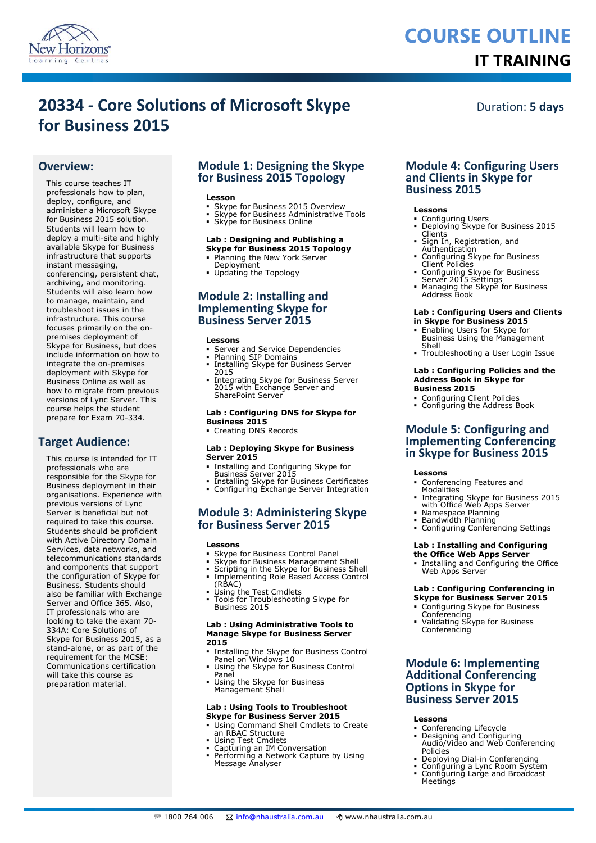

# **COURSE OUTLINE IT TRAINING**

# **20334 - Core Solutions of Microsoft Skype for Business 2015**

Duration: **5 days**

# **Overview:**

This course teaches IT professionals how to plan, deploy, configure, and administer a Microsoft Skype for Business 2015 solution. Students will learn how to deploy a multi-site and highly available Skype for Business infrastructure that supports instant messaging,

conferencing, persistent chat, archiving, and monitoring. Students will also learn how to manage, maintain, and troubleshoot issues in the infrastructure. This course focuses primarily on the onpremises deployment of Skype for Business, but does include information on how to integrate the on-premises deployment with Skype for Business Online as well as how to migrate from previous versions of Lync Server. This course helps the student prepare for Exam 70-334.

# **Target Audience:**

This course is intended for IT professionals who are responsible for the Skype for Business deployment in their organisations. Experience with previous versions of Lync Server is beneficial but not required to take this course. Students should be proficient with Active Directory Domain Services, data networks, and telecommunications standards and components that support the configuration of Skype for Business. Students should also be familiar with Exchange Server and Office 365. Also, IT professionals who are looking to take the exam 70- 334A: Core Solutions of Skype for Business 2015, as a stand-alone, or as part of the requirement for the MCSE: Communications certification will take this course as preparation material.

# **Module 1: Designing the Skype for Business 2015 Topology**

### **Lesson**

- Skype for Business 2015 Overview Skype for Business Administrative Tools
- 
- Skype for Business Online

### **Lab : Designing and Publishing a Skype for Business 2015 Topology**

- Planning the New York Server
- Deployment Updating the Topology
- 

# **Module 2: Installing and Implementing Skype for Business Server 2015**

### **Lessons**

- Server and Service Dependencies
- Planning SIP Domains
- Installing Skype for Business Server 2015
- Integrating Skype for Business Server 2015 with Exchange Server and SharePoint Server

### **Lab : Configuring DNS for Skype for Business 2015**

Creating DNS Records

### **Lab : Deploying Skype for Business Server 2015**

- Installing and Configuring Skype for
- Business Server 2015 Installing Skype for Business Certificates Configuring Exchange Server Integration
- 

# **Module 3: Administering Skype for Business Server 2015**

### **Lessons**

- Skype for Business Control Panel
- Skype for Business Management Shell
- Scripting in the Skype for Business Shell Implementing Role Based Access Control
- 
- (RBAC) Using the Test Cmdlets Tools for Troubleshooting Skype for Business 2015

### **Lab : Using Administrative Tools to Manage Skype for Business Server 2015**

- Installing the Skype for Business Control
- Panel on Windows 10 Using the Skype for Business Control Panel
- Using the Skype for Business Management Shell

### **Lab : Using Tools to Troubleshoot Skype for Business Server 2015**

- Using Command Shell Cmdlets to Create an RBAC Structure
- Using Test Cmdlets
- 
- Capturing an IM Conversation Performing a Network Capture by Using Message Analyser

## **Module 4: Configuring Users and Clients in Skype for Business 2015**

### **Lessons**

- Configuring Users Deploying Skype for Business 2015 Clients
- Sign In, Registration, and **Authentication**
- Configuring Skype for Business Client Policies
- Configuring Skype for Business Server 2015 Settings Managing the Skype for Business Address Book
- 

# **Lab : Configuring Users and Clients**

- **in Skype for Business 2015**
- Enabling Users for Skype for Business Using the Management Shell
- Troubleshooting a User Login Issue

### **Lab : Configuring Policies and the Address Book in Skype for Business 2015**

- 
- Configuring Client Policies Configuring the Address Book

# **Module 5: Configuring and Implementing Conferencing in Skype for Business 2015**

### **Lessons**

- Conferencing Features and Modalities
- Integrating Skype for Business 2015 with Office Web Apps Server
- 
- Namespace Planning Bandwidth Planning
- Configuring Conferencing Settings

### **Lab : Installing and Configuring the Office Web Apps Server**

 Installing and Configuring the Office Web Apps Server

### **Lab : Configuring Conferencing in Skype for Business Server 2015**

- Configuring Skype for Business
- Conferencing Validating Skype for Business Conferencing

# **Module 6: Implementing Additional Conferencing Options in Skype for Business Server 2015**

### **Lessons**

- Conferencing Lifecycle
- Designing and Configuring Audio/Video and Web Conferencing Policies
- Deploying Dial-in Conferencing
- Configuring a Lync Room System Configuring Large and Broadcast **Meetings**